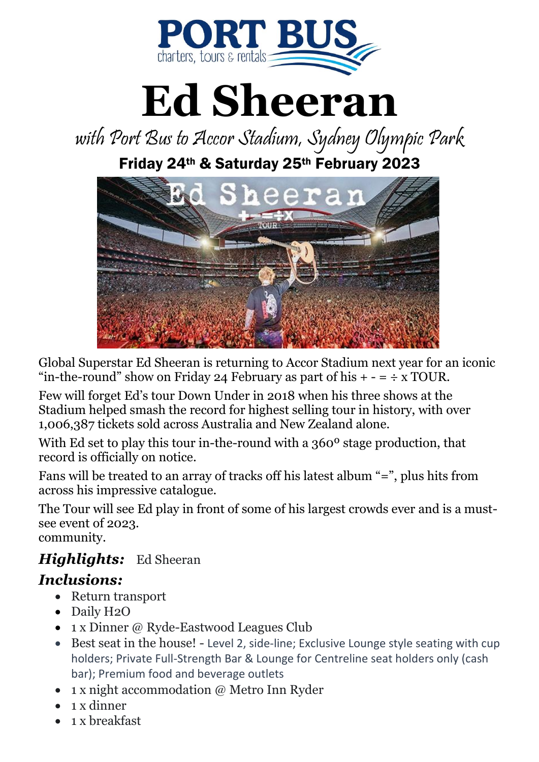

# **Ed Sheeran**

with Port Bus to Accor Stadium, Sydney Olympic Park

Friday 24th & Saturday 25th February 2023



Global Superstar Ed Sheeran is returning to Accor Stadium next year for an iconic "in-the-round" show on Friday 24 February as part of his  $+ - = \div x$  TOUR.

Few will forget Ed's tour Down Under in 2018 when his three shows at the Stadium helped smash the record for highest selling tour in history, with over 1,006,387 tickets sold across Australia and New Zealand alone.

With Ed set to play this tour in-the-round with a 360º stage production, that record is officially on notice.

Fans will be treated to an array of tracks off his latest album "=", plus hits from across his impressive catalogue.

The Tour will see Ed play in front of some of his largest crowds ever and is a mustsee event of 2023.

community.

#### *Highlights:* Ed Sheeran *Inclusions:*

- Return transport
- Daily H2O
- 1 x Dinner @ Ryde-Eastwood Leagues Club
- Best seat in the house! Level 2, side-line; Exclusive Lounge style seating with cup holders; Private Full-Strength Bar & Lounge for Centreline seat holders only (cash bar); Premium food and beverage outlets
- 1 x night accommodation @ Metro Inn Ryder
- $\bullet$  1 x dinner
- 1 x breakfast